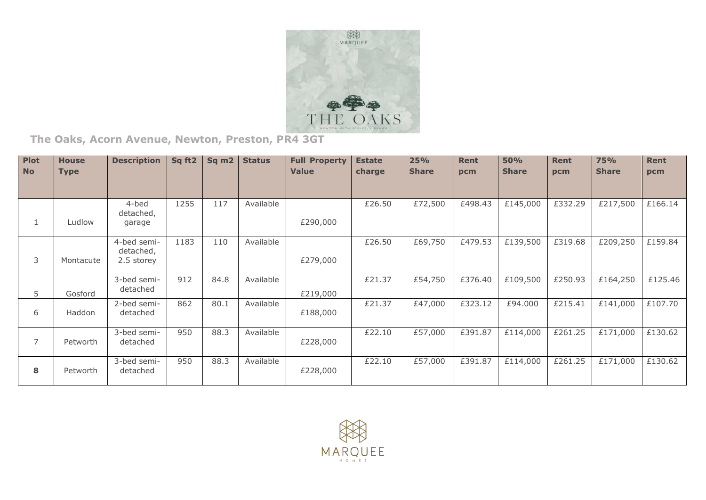

**The Oaks, Acorn Avenue, Newton, Preston, PR4 3GT**

| <b>Plot</b><br><b>No</b> | <b>House</b><br><b>Type</b> | <b>Description</b>                     | Sq ft2 | Sq <sub>m2</sub> | <b>Status</b> | <b>Full Property</b><br><b>Value</b> | <b>Estate</b><br>charge | 25%<br><b>Share</b> | <b>Rent</b><br>pcm | <b>50%</b><br><b>Share</b> | <b>Rent</b><br>pcm | <b>75%</b><br><b>Share</b> | Rent<br>pcm |
|--------------------------|-----------------------------|----------------------------------------|--------|------------------|---------------|--------------------------------------|-------------------------|---------------------|--------------------|----------------------------|--------------------|----------------------------|-------------|
|                          |                             |                                        |        |                  |               |                                      |                         |                     |                    |                            |                    |                            |             |
| ı                        | Ludlow                      | 4-bed<br>detached,<br>garage           | 1255   | 117              | Available     | £290,000                             | £26.50                  | £72,500             | £498.43            | £145,000                   | £332.29            | £217,500                   | £166.14     |
| 3                        | Montacute                   | 4-bed semi-<br>detached,<br>2.5 storey | 1183   | 110              | Available     | £279,000                             | £26.50                  | £69,750             | £479.53            | £139,500                   | £319.68            | £209,250                   | £159.84     |
| 5.                       | Gosford                     | 3-bed semi-<br>detached                | 912    | 84.8             | Available     | £219,000                             | £21.37                  | £54,750             | £376.40            | £109,500                   | £250.93            | £164,250                   | £125.46     |
| 6                        | Haddon                      | 2-bed semi-<br>detached                | 862    | 80.1             | Available     | £188,000                             | £21.37                  | £47,000             | £323.12            | £94.000                    | £215.41            | £141,000                   | £107.70     |
| $\overline{7}$           | Petworth                    | 3-bed semi-<br>detached                | 950    | 88.3             | Available     | £228,000                             | £22.10                  | £57,000             | £391.87            | £114,000                   | £261.25            | £171,000                   | £130.62     |
| 8                        | Petworth                    | 3-bed semi-<br>detached                | 950    | 88.3             | Available     | £228,000                             | £22.10                  | £57,000             | £391.87            | £114,000                   | £261.25            | £171,000                   | £130.62     |